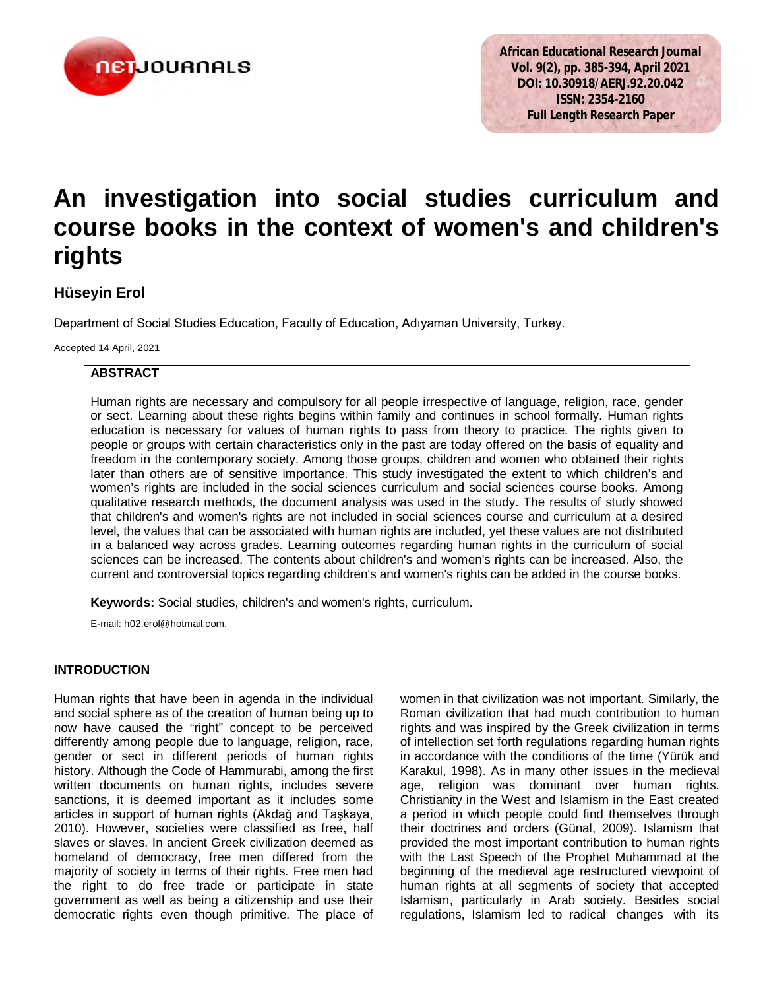

# **An investigation into social studies curriculum and course books in the context of women's and children's rights**

## **Hüseyin Erol**

Department of Social Studies Education, Faculty of Education, Adıyaman University, Turkey.

Accepted 14 April, 2021

## **ABSTRACT**

Human rights are necessary and compulsory for all people irrespective of language, religion, race, gender or sect. Learning about these rights begins within family and continues in school formally. Human rights education is necessary for values of human rights to pass from theory to practice. The rights given to people or groups with certain characteristics only in the past are today offered on the basis of equality and freedom in the contemporary society. Among those groups, children and women who obtained their rights later than others are of sensitive importance. This study investigated the extent to which children's and women's rights are included in the social sciences curriculum and social sciences course books. Among qualitative research methods, the document analysis was used in the study. The results of study showed that children's and women's rights are not included in social sciences course and curriculum at a desired level, the values that can be associated with human rights are included, yet these values are not distributed in a balanced way across grades. Learning outcomes regarding human rights in the curriculum of social sciences can be increased. The contents about children's and women's rights can be increased. Also, the current and controversial topics regarding children's and women's rights can be added in the course books.

**Keywords:** Social studies, children's and women's rights, curriculum.

E-mail: h02.erol@hotmail.com.

### **INTRODUCTION**

Human rights that have been in agenda in the individual and social sphere as of the creation of human being up to now have caused the "right" concept to be perceived differently among people due to language, religion, race, gender or sect in different periods of human rights history. Although the Code of Hammurabi, among the first written documents on human rights, includes severe sanctions, it is deemed important as it includes some articles in support of human rights (Akdağ and Taşkaya, 2010). However, societies were classified as free, half slaves or slaves. In ancient Greek civilization deemed as homeland of democracy, free men differed from the majority of society in terms of their rights. Free men had the right to do free trade or participate in state government as well as being a citizenship and use their democratic rights even though primitive. The place of

women in that civilization was not important. Similarly, the Roman civilization that had much contribution to human rights and was inspired by the Greek civilization in terms of intellection set forth regulations regarding human rights in accordance with the conditions of the time (Yürük and Karakul, 1998). As in many other issues in the medieval age, religion was dominant over human rights. Christianity in the West and Islamism in the East created a period in which people could find themselves through their doctrines and orders (Günal, 2009). Islamism that provided the most important contribution to human rights with the Last Speech of the Prophet Muhammad at the beginning of the medieval age restructured viewpoint of human rights at all segments of society that accepted Islamism, particularly in Arab society. Besides social regulations, Islamism led to radical changes with its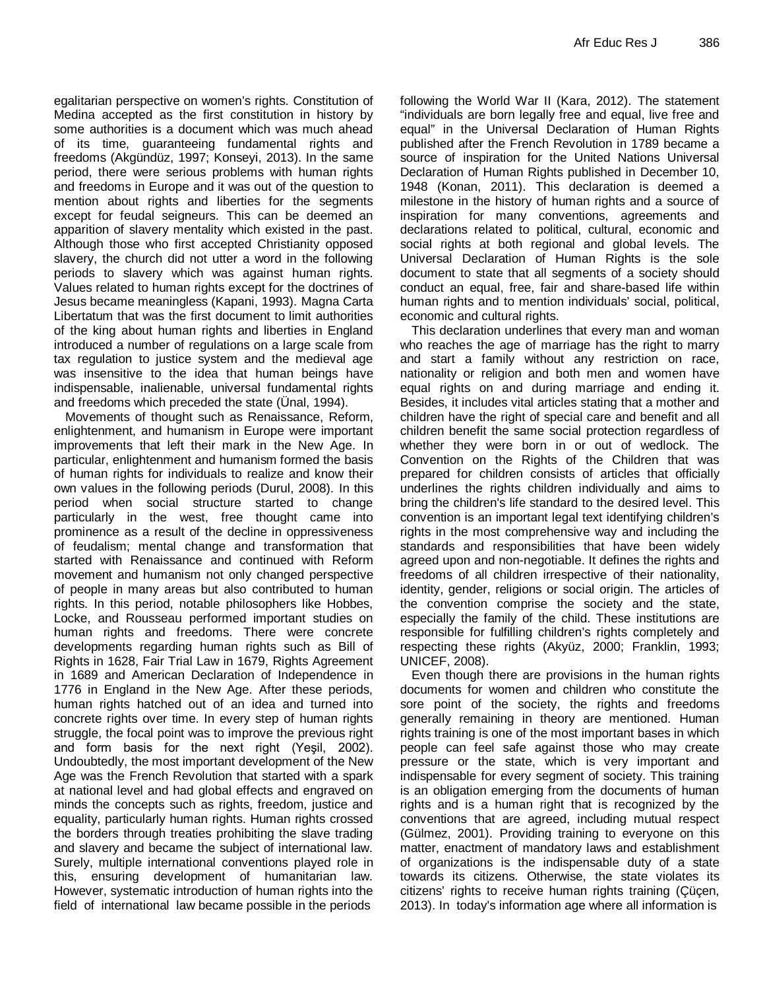egalitarian perspective on women's rights. Constitution of Medina accepted as the first constitution in history by some authorities is a document which was much ahead of its time, guaranteeing fundamental rights and freedoms (Akgündüz, 1997; Konseyi, 2013). In the same period, there were serious problems with human rights and freedoms in Europe and it was out of the question to mention about rights and liberties for the segments except for feudal seigneurs. This can be deemed an apparition of slavery mentality which existed in the past. Although those who first accepted Christianity opposed slavery, the church did not utter a word in the following periods to slavery which was against human rights. Values related to human rights except for the doctrines of Jesus became meaningless (Kapani, 1993). Magna Carta Libertatum that was the first document to limit authorities of the king about human rights and liberties in England introduced a number of regulations on a large scale from tax regulation to justice system and the medieval age was insensitive to the idea that human beings have indispensable, inalienable, universal fundamental rights and freedoms which preceded the state (Ünal, 1994).

Movements of thought such as Renaissance, Reform, enlightenment, and humanism in Europe were important improvements that left their mark in the New Age. In particular, enlightenment and humanism formed the basis of human rights for individuals to realize and know their own values in the following periods (Durul, 2008). In this period when social structure started to change particularly in the west, free thought came into prominence as a result of the decline in oppressiveness of feudalism; mental change and transformation that started with Renaissance and continued with Reform movement and humanism not only changed perspective of people in many areas but also contributed to human rights. In this period, notable philosophers like Hobbes, Locke, and Rousseau performed important studies on human rights and freedoms. There were concrete developments regarding human rights such as Bill of Rights in 1628, Fair Trial Law in 1679, Rights Agreement in 1689 and American Declaration of Independence in 1776 in England in the New Age. After these periods, human rights hatched out of an idea and turned into concrete rights over time. In every step of human rights struggle, the focal point was to improve the previous right and form basis for the next right (Yeşil, 2002). Undoubtedly, the most important development of the New Age was the French Revolution that started with a spark at national level and had global effects and engraved on minds the concepts such as rights, freedom, justice and equality, particularly human rights. Human rights crossed the borders through treaties prohibiting the slave trading and slavery and became the subject of international law. Surely, multiple international conventions played role in this, ensuring development of humanitarian law. However, systematic introduction of human rights into the field of international law became possible in the periods

following the World War II (Kara, 2012). The statement "individuals are born legally free and equal, live free and equal" in the Universal Declaration of Human Rights published after the French Revolution in 1789 became a source of inspiration for the United Nations Universal Declaration of Human Rights published in December 10, 1948 (Konan, 2011). This declaration is deemed a milestone in the history of human rights and a source of inspiration for many conventions, agreements and declarations related to political, cultural, economic and social rights at both regional and global levels. The Universal Declaration of Human Rights is the sole document to state that all segments of a society should conduct an equal, free, fair and share-based life within human rights and to mention individuals' social, political, economic and cultural rights.

This declaration underlines that every man and woman who reaches the age of marriage has the right to marry and start a family without any restriction on race, nationality or religion and both men and women have equal rights on and during marriage and ending it. Besides, it includes vital articles stating that a mother and children have the right of special care and benefit and all children benefit the same social protection regardless of whether they were born in or out of wedlock. The Convention on the Rights of the Children that was prepared for children consists of articles that officially underlines the rights children individually and aims to bring the children's life standard to the desired level. This convention is an important legal text identifying children's rights in the most comprehensive way and including the standards and responsibilities that have been widely agreed upon and non-negotiable. It defines the rights and freedoms of all children irrespective of their nationality, identity, gender, religions or social origin. The articles of the convention comprise the society and the state, especially the family of the child. These institutions are responsible for fulfilling children's rights completely and respecting these rights (Akyüz, 2000; Franklin, 1993; UNICEF, 2008).

Even though there are provisions in the human rights documents for women and children who constitute the sore point of the society, the rights and freedoms generally remaining in theory are mentioned. Human rights training is one of the most important bases in which people can feel safe against those who may create pressure or the state, which is very important and indispensable for every segment of society. This training is an obligation emerging from the documents of human rights and is a human right that is recognized by the conventions that are agreed, including mutual respect (Gülmez, 2001). Providing training to everyone on this matter, enactment of mandatory laws and establishment of organizations is the indispensable duty of a state towards its citizens. Otherwise, the state violates its citizens' rights to receive human rights training (Çüçen, 2013). In today's information age where all information is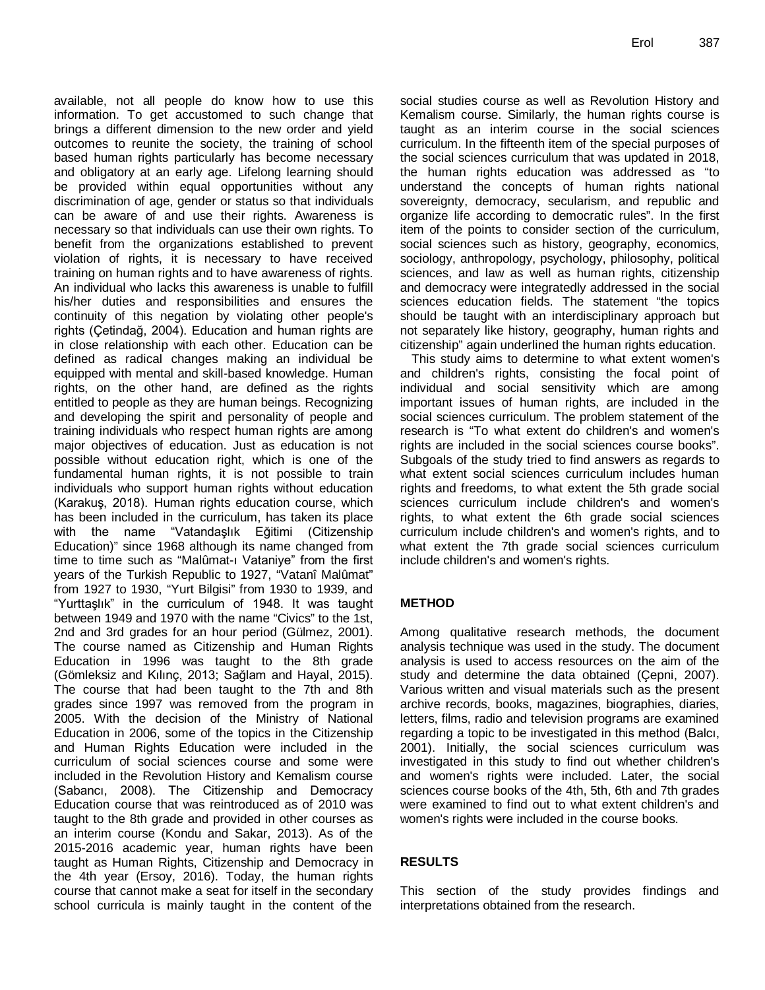available, not all people do know how to use this information. To get accustomed to such change that brings a different dimension to the new order and yield outcomes to reunite the society, the training of school based human rights particularly has become necessary and obligatory at an early age. Lifelong learning should be provided within equal opportunities without any discrimination of age, gender or status so that individuals can be aware of and use their rights. Awareness is necessary so that individuals can use their own rights. To benefit from the organizations established to prevent violation of rights, it is necessary to have received training on human rights and to have awareness of rights. An individual who lacks this awareness is unable to fulfill his/her duties and responsibilities and ensures the continuity of this negation by violating other people's rights (Çetindağ, 2004). Education and human rights are in close relationship with each other. Education can be defined as radical changes making an individual be equipped with mental and skill-based knowledge. Human rights, on the other hand, are defined as the rights entitled to people as they are human beings. Recognizing and developing the spirit and personality of people and training individuals who respect human rights are among major objectives of education. Just as education is not possible without education right, which is one of the fundamental human rights, it is not possible to train individuals who support human rights without education (Karakuş, 2018). Human rights education course, which has been included in the curriculum, has taken its place<br>with the name "Vatandaslık Eğitimi (Citizenship "Vatandaşlık Eğitimi (Citizenship Education)" since 1968 although its name changed from time to time such as "Malûmat-ı Vataniye" from the first years of the Turkish Republic to 1927, "Vatanî Malûmat" from 1927 to 1930, "Yurt Bilgisi" from 1930 to 1939, and "Yurttaşlık" in the curriculum of 1948. It was taught between 1949 and 1970 with the name "Civics" to the 1st, 2nd and 3rd grades for an hour period (Gülmez, 2001). The course named as Citizenship and Human Rights Education in 1996 was taught to the 8th grade (Gömleksiz and Kılınç, 2013; Sağlam and Hayal, 2015). The course that had been taught to the 7th and 8th grades since 1997 was removed from the program in 2005. With the decision of the Ministry of National Education in 2006, some of the topics in the Citizenship and Human Rights Education were included in the curriculum of social sciences course and some were included in the Revolution History and Kemalism course (Sabancı, 2008). The Citizenship and Democracy Education course that was reintroduced as of 2010 was taught to the 8th grade and provided in other courses as an interim course (Kondu and Sakar, 2013). As of the 2015-2016 academic year, human rights have been taught as Human Rights, Citizenship and Democracy in the 4th year (Ersoy, 2016). Today, the human rights course that cannot make a seat for itself in the secondary school curricula is mainly taught in the content of the social studies course as well as Revolution History and Kemalism course. Similarly, the human rights course is taught as an interim course in the social sciences curriculum. In the fifteenth item of the special purposes of the social sciences curriculum that was updated in 2018, the human rights education was addressed as "to understand the concepts of human rights national sovereignty, democracy, secularism, and republic and organize life according to democratic rules". In the first item of the points to consider section of the curriculum, social sciences such as history, geography, economics, sociology, anthropology, psychology, philosophy, political sciences, and law as well as human rights, citizenship and democracy were integratedly addressed in the social sciences education fields. The statement "the topics should be taught with an interdisciplinary approach but not separately like history, geography, human rights and citizenship" again underlined the human rights education.

This study aims to determine to what extent women's and children's rights, consisting the focal point of individual and social sensitivity which are among important issues of human rights, are included in the social sciences curriculum. The problem statement of the research is "To what extent do children's and women's rights are included in the social sciences course books". Subgoals of the study tried to find answers as regards to what extent social sciences curriculum includes human rights and freedoms, to what extent the 5th grade social sciences curriculum include children's and women's rights, to what extent the 6th grade social sciences curriculum include children's and women's rights, and to what extent the 7th grade social sciences curriculum include children's and women's rights.

### **METHOD**

Among qualitative research methods, the document analysis technique was used in the study. The document analysis is used to access resources on the aim of the study and determine the data obtained (Çepni, 2007). Various written and visual materials such as the present archive records, books, magazines, biographies, diaries, letters, films, radio and television programs are examined regarding a topic to be investigated in this method (Balcı, 2001). Initially, the social sciences curriculum was investigated in this study to find out whether children's and women's rights were included. Later, the social sciences course books of the 4th, 5th, 6th and 7th grades were examined to find out to what extent children's and women's rights were included in the course books.

#### **RESULTS**

This section of the study provides findings and interpretations obtained from the research.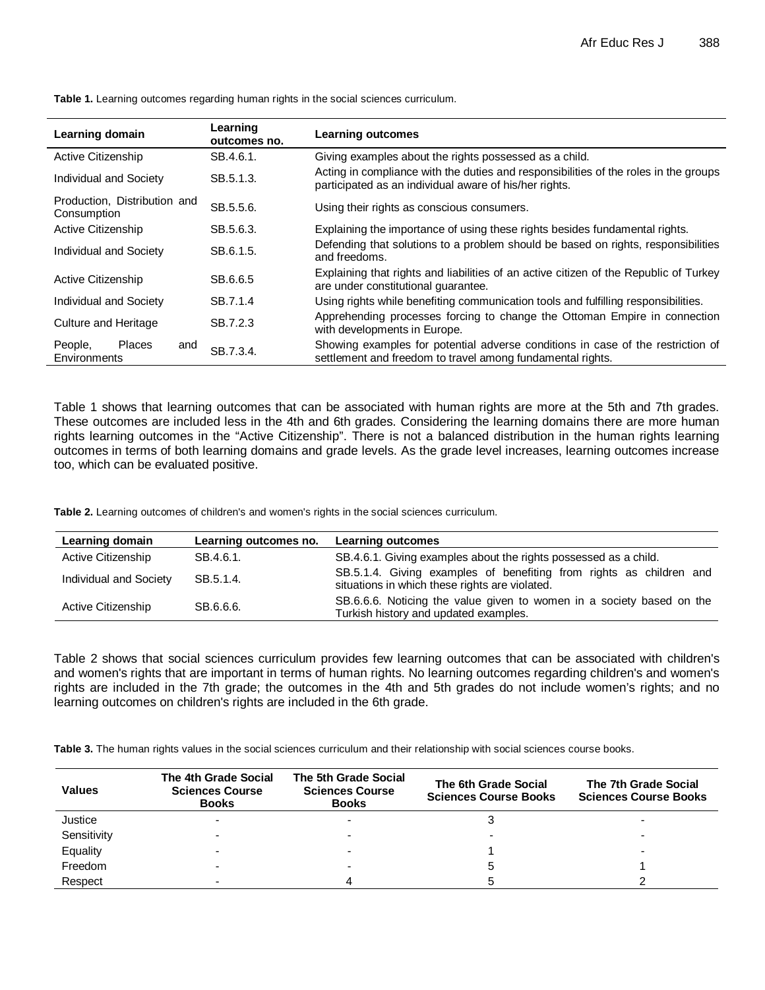| Learning domain                                 | Learning<br>outcomes no. | <b>Learning outcomes</b>                                                                                                                       |  |
|-------------------------------------------------|--------------------------|------------------------------------------------------------------------------------------------------------------------------------------------|--|
| Active Citizenship                              | SB.4.6.1.                | Giving examples about the rights possessed as a child.                                                                                         |  |
| Individual and Society                          | SB.5.1.3.                | Acting in compliance with the duties and responsibilities of the roles in the groups<br>participated as an individual aware of his/her rights. |  |
| Production, Distribution and<br>Consumption     | SB.5.5.6.                | Using their rights as conscious consumers.                                                                                                     |  |
| Active Citizenship                              | SB.5.6.3.                | Explaining the importance of using these rights besides fundamental rights.                                                                    |  |
| Individual and Society                          | SB.6.1.5.                | Defending that solutions to a problem should be based on rights, responsibilities<br>and freedoms.                                             |  |
| Active Citizenship                              | SB.6.6.5                 | Explaining that rights and liabilities of an active citizen of the Republic of Turkey<br>are under constitutional guarantee.                   |  |
| Individual and Society                          | SB.7.1.4                 | Using rights while benefiting communication tools and fulfilling responsibilities.                                                             |  |
| <b>Culture and Heritage</b>                     | SB.7.2.3                 | Apprehending processes forcing to change the Ottoman Empire in connection<br>with developments in Europe.                                      |  |
| <b>Places</b><br>People.<br>and<br>Environments | SB.7.3.4.                | Showing examples for potential adverse conditions in case of the restriction of<br>settlement and freedom to travel among fundamental rights.  |  |

**Table 1.** Learning outcomes regarding human rights in the social sciences curriculum.

Table 1 shows that learning outcomes that can be associated with human rights are more at the 5th and 7th grades. These outcomes are included less in the 4th and 6th grades. Considering the learning domains there are more human rights learning outcomes in the "Active Citizenship". There is not a balanced distribution in the human rights learning outcomes in terms of both learning domains and grade levels. As the grade level increases, learning outcomes increase too, which can be evaluated positive.

**Table 2.** Learning outcomes of children's and women's rights in the social sciences curriculum.

| Learning domain        | Learning outcomes no. | <b>Learning outcomes</b>                                                                                              |
|------------------------|-----------------------|-----------------------------------------------------------------------------------------------------------------------|
| Active Citizenship     | SB.4.6.1.             | SB.4.6.1. Giving examples about the rights possessed as a child.                                                      |
| Individual and Society | SB.5.1.4.             | SB.5.1.4. Giving examples of benefiting from rights as children and<br>situations in which these rights are violated. |
| Active Citizenship     | SB.6.6.6.             | SB.6.6.6. Noticing the value given to women in a society based on the<br>Turkish history and updated examples.        |

Table 2 shows that social sciences curriculum provides few learning outcomes that can be associated with children's and women's rights that are important in terms of human rights. No learning outcomes regarding children's and women's rights are included in the 7th grade; the outcomes in the 4th and 5th grades do not include women's rights; and no learning outcomes on children's rights are included in the 6th grade.

**Table 3.** The human rights values in the social sciences curriculum and their relationship with social sciences course books.

| <b>Values</b> | The 4th Grade Social<br><b>Sciences Course</b><br><b>Books</b> | The 5th Grade Social<br><b>Sciences Course</b><br><b>Books</b> | The 6th Grade Social<br><b>Sciences Course Books</b> | The 7th Grade Social<br><b>Sciences Course Books</b> |
|---------------|----------------------------------------------------------------|----------------------------------------------------------------|------------------------------------------------------|------------------------------------------------------|
| Justice       |                                                                |                                                                |                                                      |                                                      |
| Sensitivity   |                                                                |                                                                |                                                      |                                                      |
| Equality      |                                                                |                                                                |                                                      |                                                      |
| Freedom       |                                                                |                                                                |                                                      |                                                      |
| Respect       |                                                                |                                                                |                                                      |                                                      |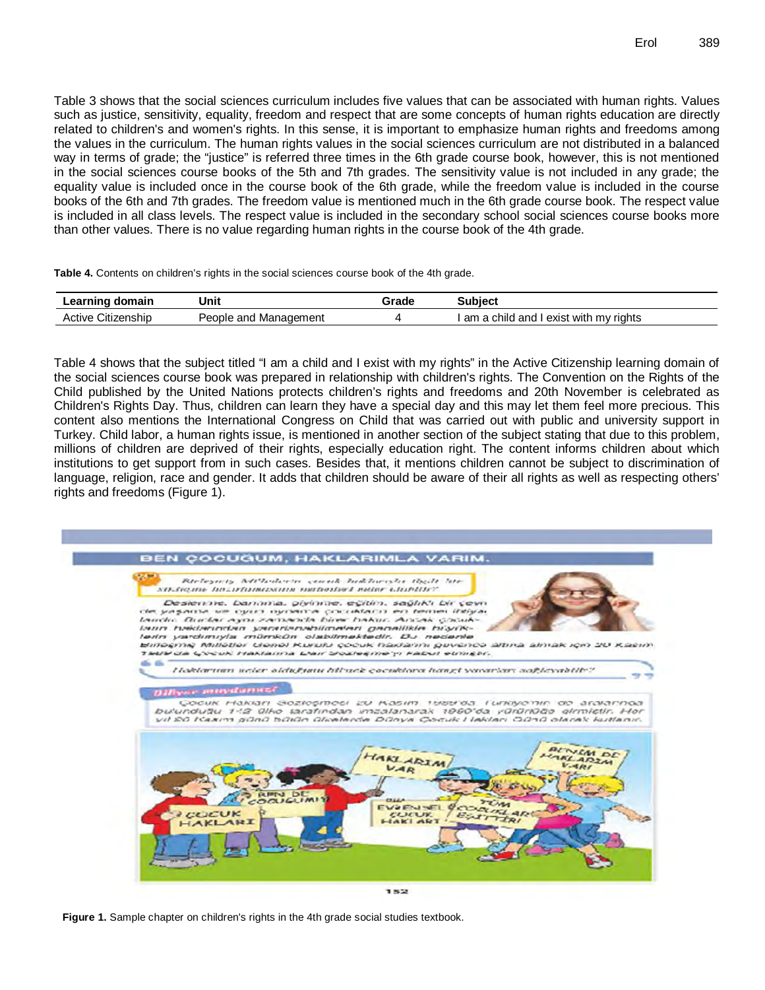Table 3 shows that the social sciences curriculum includes five values that can be associated with human rights. Values such as justice, sensitivity, equality, freedom and respect that are some concepts of human rights education are directly related to children's and women's rights. In this sense, it is important to emphasize human rights and freedoms among the values in the curriculum. The human rights values in the social sciences curriculum are not distributed in a balanced way in terms of grade; the "justice" is referred three times in the 6th grade course book, however, this is not mentioned in the social sciences course books of the 5th and 7th grades. The sensitivity value is not included in any grade; the equality value is included once in the course book of the 6th grade, while the freedom value is included in the course books of the 6th and 7th grades. The freedom value is mentioned much in the 6th grade course book. The respect value is included in all class levels. The respect value is included in the secondary school social sciences course books more than other values. There is no value regarding human rights in the course book of the 4th grade.

**Table 4.** Contents on children's rights in the social sciences course book of the 4th grade.

| <b>Aarning</b><br>domain<br>,,,,,,<br>-92 | Unit                                             | ≥rad | illhiart                                              |
|-------------------------------------------|--------------------------------------------------|------|-------------------------------------------------------|
| zenshir<br>rtive                          | ∵ennle :<br>anc<br>'חם ר<br>120AN<br>Mar<br>ieni |      | ∕ riahts<br>am<br>anc<br>exist<br>with<br>child<br>mv |

Table 4 shows that the subject titled "I am a child and I exist with my rights" in the Active Citizenship learning domain of the social sciences course book was prepared in relationship with children's rights. The Convention on the Rights of the Child published by the United Nations protects children's rights and freedoms and 20th November is celebrated as Children's Rights Day. Thus, children can learn they have a special day and this may let them feel more precious. This content also mentions the International Congress on Child that was carried out with public and university support in Turkey. Child labor, a human rights issue, is mentioned in another section of the subject stating that due to this problem, millions of children are deprived of their rights, especially education right. The content informs children about which institutions to get support from in such cases. Besides that, it mentions children cannot be subject to discrimination of language, religion, race and gender. It adds that children should be aware of their all rights as well as respecting others' rights and freedoms (Figure 1).



**Figure 1.** Sample chapter on children's rights in the 4th grade social studies textbook.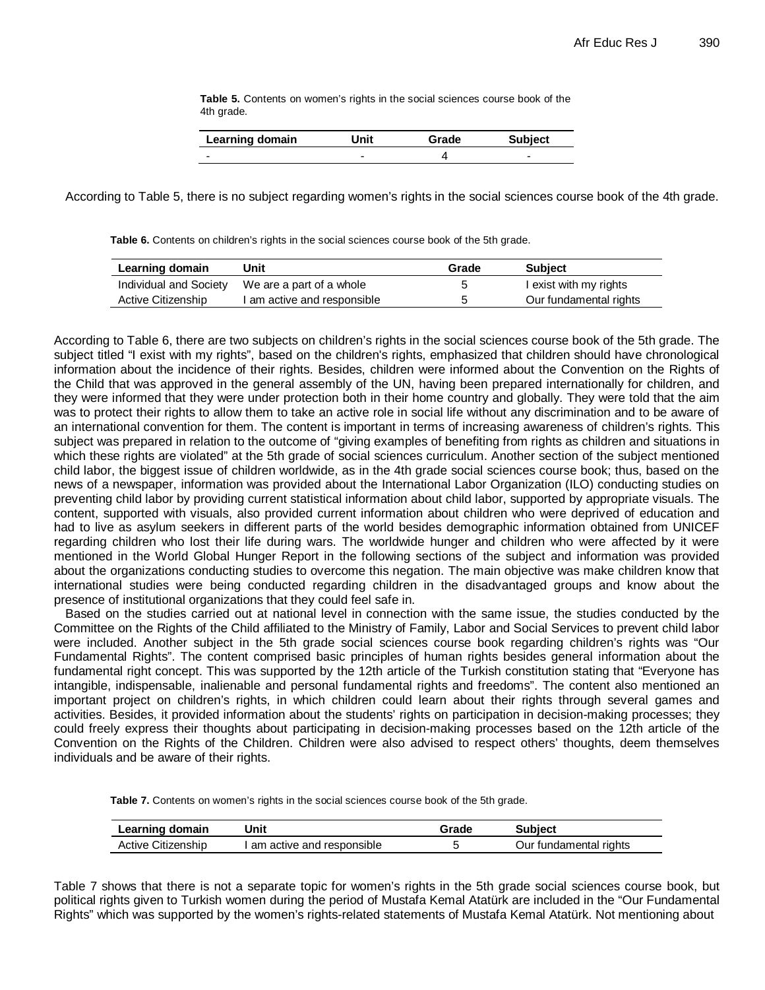**Table 5.** Contents on women's rights in the social sciences course book of the 4th grade.

| Learning domain | Jnit                     | Grade | <b>Subject</b>           |
|-----------------|--------------------------|-------|--------------------------|
| -               | $\overline{\phantom{0}}$ |       | $\overline{\phantom{0}}$ |

According to Table 5, there is no subject regarding women's rights in the social sciences course book of the 4th grade.

**Table 6.** Contents on children's rights in the social sciences course book of the 5th grade.

| Learning domain        | Unit                        | Grade | <b>Subject</b>         |
|------------------------|-----------------------------|-------|------------------------|
| Individual and Society | We are a part of a whole    |       | I exist with my rights |
| Active Citizenship     | I am active and responsible | 5     | Our fundamental rights |

According to Table 6, there are two subjects on children's rights in the social sciences course book of the 5th grade. The subject titled "I exist with my rights", based on the children's rights, emphasized that children should have chronological information about the incidence of their rights. Besides, children were informed about the Convention on the Rights of the Child that was approved in the general assembly of the UN, having been prepared internationally for children, and they were informed that they were under protection both in their home country and globally. They were told that the aim was to protect their rights to allow them to take an active role in social life without any discrimination and to be aware of an international convention for them. The content is important in terms of increasing awareness of children's rights. This subject was prepared in relation to the outcome of "giving examples of benefiting from rights as children and situations in which these rights are violated" at the 5th grade of social sciences curriculum. Another section of the subject mentioned child labor, the biggest issue of children worldwide, as in the 4th grade social sciences course book; thus, based on the news of a newspaper, information was provided about the International Labor Organization (ILO) conducting studies on preventing child labor by providing current statistical information about child labor, supported by appropriate visuals. The content, supported with visuals, also provided current information about children who were deprived of education and had to live as asylum seekers in different parts of the world besides demographic information obtained from UNICEF regarding children who lost their life during wars. The worldwide hunger and children who were affected by it were mentioned in the World Global Hunger Report in the following sections of the subject and information was provided about the organizations conducting studies to overcome this negation. The main objective was make children know that international studies were being conducted regarding children in the disadvantaged groups and know about the presence of institutional organizations that they could feel safe in.

Based on the studies carried out at national level in connection with the same issue, the studies conducted by the Committee on the Rights of the Child affiliated to the Ministry of Family, Labor and Social Services to prevent child labor were included. Another subject in the 5th grade social sciences course book regarding children's rights was "Our Fundamental Rights". The content comprised basic principles of human rights besides general information about the fundamental right concept. This was supported by the 12th article of the Turkish constitution stating that "Everyone has intangible, indispensable, inalienable and personal fundamental rights and freedoms". The content also mentioned an important project on children's rights, in which children could learn about their rights through several games and activities. Besides, it provided information about the students' rights on participation in decision-making processes; they could freely express their thoughts about participating in decision-making processes based on the 12th article of the Convention on the Rights of the Children. Children were also advised to respect others' thoughts, deem themselves individuals and be aware of their rights.

**Table 7.** Contents on women's rights in the social sciences course book of the 5th grade.

| Learning domain    | Unit                      | Grade | Subiect                |
|--------------------|---------------------------|-------|------------------------|
| Active Citizenship | am active and responsible |       | Our fundamental rights |

Table 7 shows that there is not a separate topic for women's rights in the 5th grade social sciences course book, but political rights given to Turkish women during the period of Mustafa Kemal Atatürk are included in the "Our Fundamental Rights" which was supported by the women's rights-related statements of Mustafa Kemal Atatürk. Not mentioning about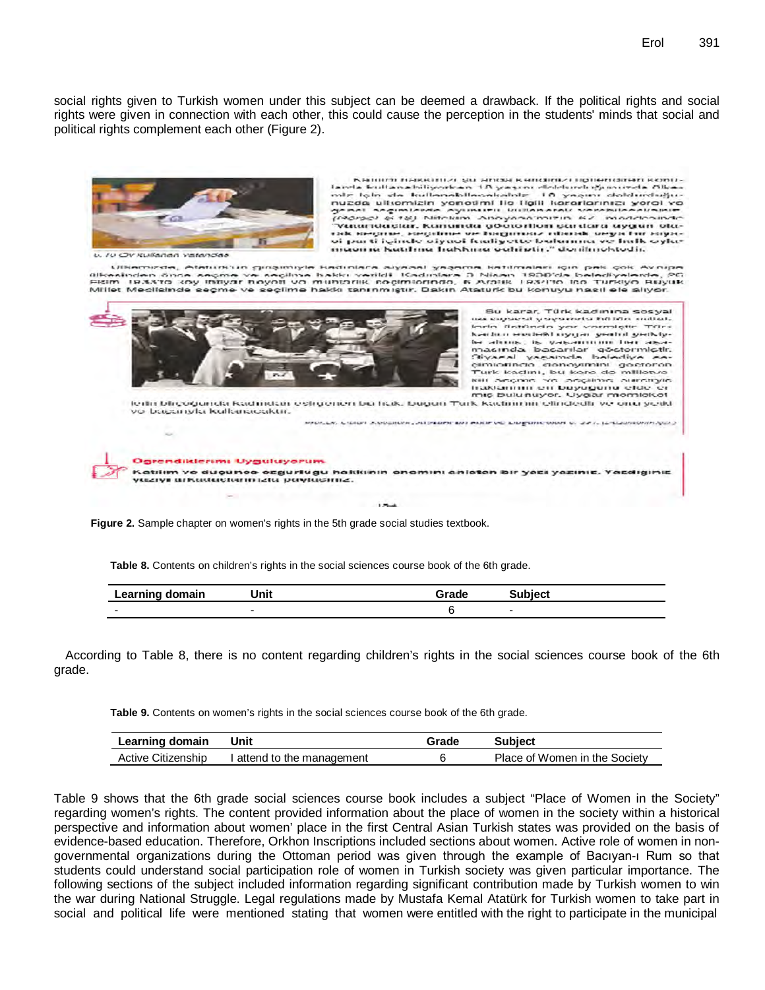social rights given to Turkish women under this subject can be deemed a drawback. If the political rights and social rights were given in connection with each other, this could cause the perception in the students' minds that social and political rights complement each other (Figure 2).



**Table 8.** Contents on children's rights in the social sciences course book of the 6th grade.

| Learning domain | Unit                     | Grade | Subiect |
|-----------------|--------------------------|-------|---------|
|                 | $\overline{\phantom{0}}$ |       | -       |

According to Table 8, there is no content regarding children's rights in the social sciences course book of the 6th grade.

**Table 9.** Contents on women's rights in the social sciences course book of the 6th grade.

| Learning domain    | Unit                       | Grade | <b>Subject</b>                |
|--------------------|----------------------------|-------|-------------------------------|
| Active Citizenship | I attend to the management |       | Place of Women in the Society |

Table 9 shows that the 6th grade social sciences course book includes a subject "Place of Women in the Society" regarding women's rights. The content provided information about the place of women in the society within a historical perspective and information about women' place in the first Central Asian Turkish states was provided on the basis of evidence-based education. Therefore, Orkhon Inscriptions included sections about women. Active role of women in nongovernmental organizations during the Ottoman period was given through the example of Bacıyan-ı Rum so that students could understand social participation role of women in Turkish society was given particular importance. The following sections of the subject included information regarding significant contribution made by Turkish women to win the war during National Struggle. Legal regulations made by Mustafa Kemal Atatürk for Turkish women to take part in social and political life were mentioned stating that women were entitled with the right to participate in the municipal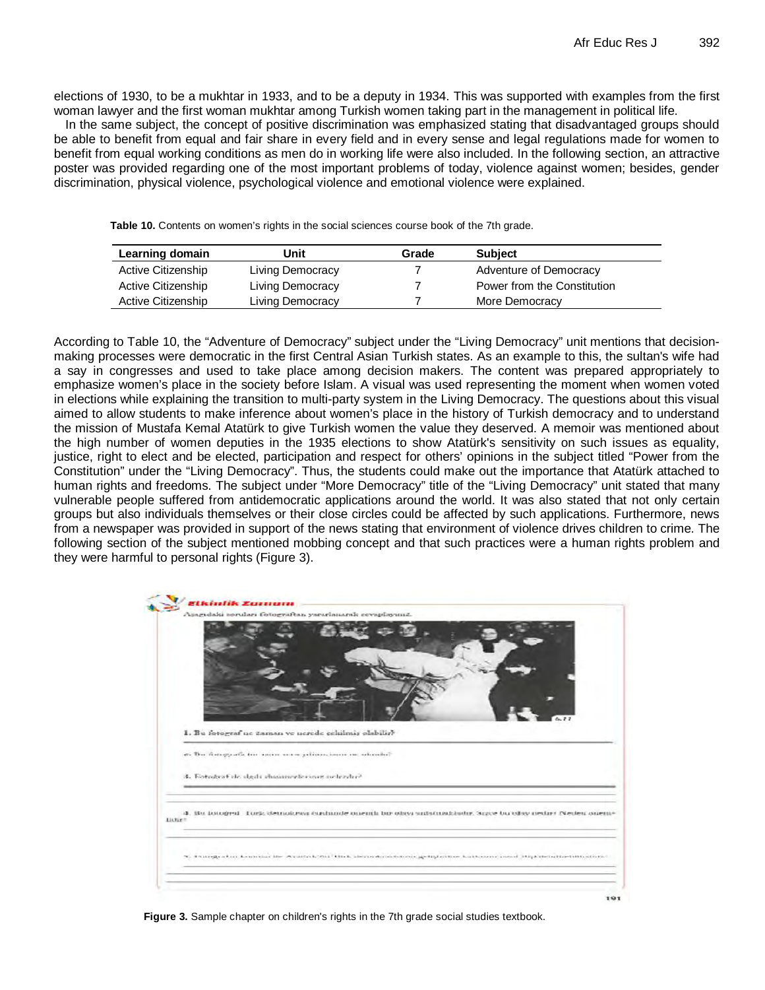elections of 1930, to be a mukhtar in 1933, and to be a deputy in 1934. This was supported with examples from the first woman lawyer and the first woman mukhtar among Turkish women taking part in the management in political life.

In the same subject, the concept of positive discrimination was emphasized stating that disadvantaged groups should be able to benefit from equal and fair share in every field and in every sense and legal regulations made for women to benefit from equal working conditions as men do in working life were also included. In the following section, an attractive poster was provided regarding one of the most important problems of today, violence against women; besides, gender discrimination, physical violence, psychological violence and emotional violence were explained.

**Table 10.** Contents on women's rights in the social sciences course book of the 7th grade.

| Learning domain    | Unit             | Grade | <b>Subject</b>              |
|--------------------|------------------|-------|-----------------------------|
| Active Citizenship | Living Democracy |       | Adventure of Democracy      |
| Active Citizenship | Living Democracy |       | Power from the Constitution |
| Active Citizenship | Living Democracy |       | More Democracy              |

According to Table 10, the "Adventure of Democracy" subject under the "Living Democracy" unit mentions that decisionmaking processes were democratic in the first Central Asian Turkish states. As an example to this, the sultan's wife had a say in congresses and used to take place among decision makers. The content was prepared appropriately to emphasize women's place in the society before Islam. A visual was used representing the moment when women voted in elections while explaining the transition to multi-party system in the Living Democracy. The questions about this visual aimed to allow students to make inference about women's place in the history of Turkish democracy and to understand the mission of Mustafa Kemal Atatürk to give Turkish women the value they deserved. A memoir was mentioned about the high number of women deputies in the 1935 elections to show Atatürk's sensitivity on such issues as equality, justice, right to elect and be elected, participation and respect for others' opinions in the subject titled "Power from the Constitution" under the "Living Democracy". Thus, the students could make out the importance that Atatürk attached to human rights and freedoms. The subject under "More Democracy" title of the "Living Democracy" unit stated that many vulnerable people suffered from antidemocratic applications around the world. It was also stated that not only certain groups but also individuals themselves or their close circles could be affected by such applications. Furthermore, news from a newspaper was provided in support of the news stating that environment of violence drives children to crime. The following section of the subject mentioned mobbing concept and that such practices were a human rights problem and they were harmful to personal rights (Figure 3).



**Figure 3.** Sample chapter on children's rights in the 7th grade social studies textbook.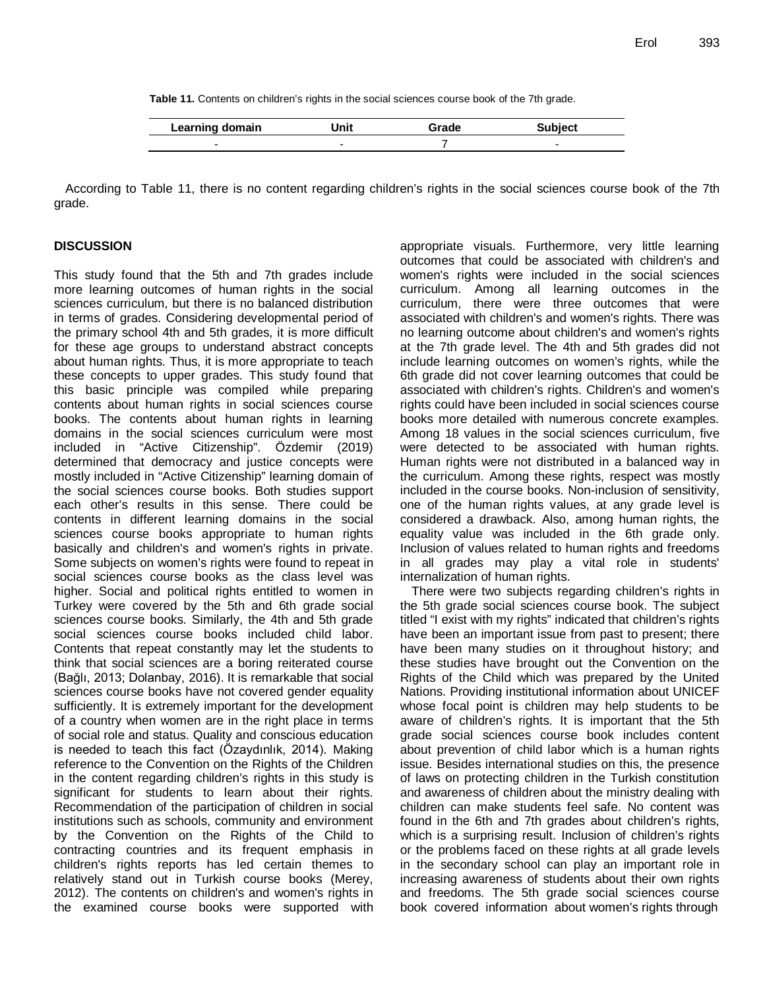**Table 11.** Contents on children's rights in the social sciences course book of the 7th grade.

| Learning domain | Jnit                     | Grade | <b>Subject</b> |
|-----------------|--------------------------|-------|----------------|
| -               | $\overline{\phantom{a}}$ |       | -              |
|                 |                          |       |                |

According to Table 11, there is no content regarding children's rights in the social sciences course book of the 7th grade.

#### **DISCUSSION**

This study found that the 5th and 7th grades include more learning outcomes of human rights in the social sciences curriculum, but there is no balanced distribution in terms of grades. Considering developmental period of the primary school 4th and 5th grades, it is more difficult for these age groups to understand abstract concepts about human rights. Thus, it is more appropriate to teach these concepts to upper grades. This study found that this basic principle was compiled while preparing contents about human rights in social sciences course books. The contents about human rights in learning domains in the social sciences curriculum were most included in "Active Citizenship". Özdemir (2019) determined that democracy and justice concepts were mostly included in "Active Citizenship" learning domain of the social sciences course books. Both studies support each other's results in this sense. There could be contents in different learning domains in the social sciences course books appropriate to human rights basically and children's and women's rights in private. Some subjects on women's rights were found to repeat in social sciences course books as the class level was higher. Social and political rights entitled to women in Turkey were covered by the 5th and 6th grade social sciences course books. Similarly, the 4th and 5th grade social sciences course books included child labor. Contents that repeat constantly may let the students to think that social sciences are a boring reiterated course (Bağlı, 2013; Dolanbay, 2016). It is remarkable that social sciences course books have not covered gender equality sufficiently. It is extremely important for the development of a country when women are in the right place in terms of social role and status. Quality and conscious education is needed to teach this fact (Özaydınlık, 2014). Making reference to the Convention on the Rights of the Children in the content regarding children's rights in this study is significant for students to learn about their rights. Recommendation of the participation of children in social institutions such as schools, community and environment by the Convention on the Rights of the Child to contracting countries and its frequent emphasis in children's rights reports has led certain themes to relatively stand out in Turkish course books (Merey, 2012). The contents on children's and women's rights in the examined course books were supported with appropriate visuals. Furthermore, very little learning outcomes that could be associated with children's and women's rights were included in the social sciences curriculum. Among all learning outcomes in the curriculum, there were three outcomes that were associated with children's and women's rights. There was no learning outcome about children's and women's rights at the 7th grade level. The 4th and 5th grades did not include learning outcomes on women's rights, while the 6th grade did not cover learning outcomes that could be associated with children's rights. Children's and women's rights could have been included in social sciences course books more detailed with numerous concrete examples. Among 18 values in the social sciences curriculum, five were detected to be associated with human rights. Human rights were not distributed in a balanced way in the curriculum. Among these rights, respect was mostly included in the course books. Non-inclusion of sensitivity, one of the human rights values, at any grade level is considered a drawback. Also, among human rights, the equality value was included in the 6th grade only. Inclusion of values related to human rights and freedoms in all grades may play a vital role in students' internalization of human rights.

There were two subjects regarding children's rights in the 5th grade social sciences course book. The subject titled "I exist with my rights" indicated that children's rights have been an important issue from past to present; there have been many studies on it throughout history; and these studies have brought out the Convention on the Rights of the Child which was prepared by the United Nations. Providing institutional information about UNICEF whose focal point is children may help students to be aware of children's rights. It is important that the 5th grade social sciences course book includes content about prevention of child labor which is a human rights issue. Besides international studies on this, the presence of laws on protecting children in the Turkish constitution and awareness of children about the ministry dealing with children can make students feel safe. No content was found in the 6th and 7th grades about children's rights, which is a surprising result. Inclusion of children's rights or the problems faced on these rights at all grade levels in the secondary school can play an important role in increasing awareness of students about their own rights and freedoms. The 5th grade social sciences course book covered information about women's rights through